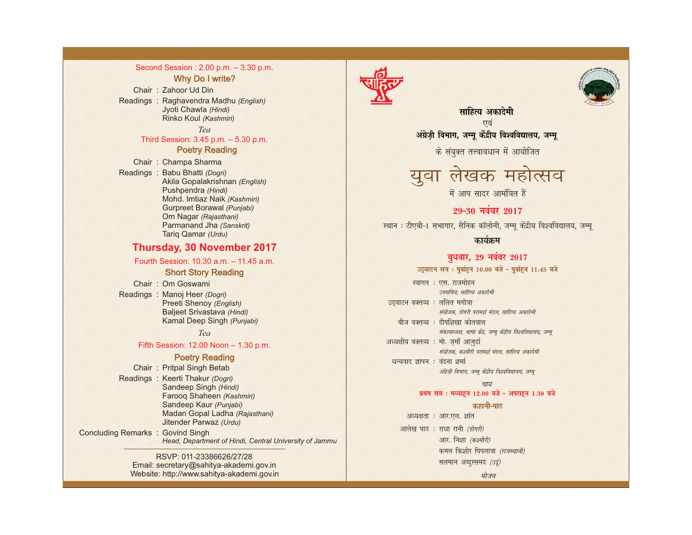## Second Session : 2.00 p.m. – 3.30 p.m.

#### Why Do I write?

Chair : Zahoor Ud Din Readings : Raghavendra Madhu *(English)* Jyoti Chawla *(Hindi)* Rinko Koul *(Kashmiri)*

*Tea* 

## Third Session: 3.45 p.m. – 5.30 p.m. Poetry Reading

Chair : Champa Sharma

Readings : Babu Bhatti *(Dogri)* Akila Gopalakrishnan *(English)* Pushpendra *(Hindi)* Mohd. Imtiaz Naik *(Kashmiri)* Gurpreet Borawal *(Punjabi)* Om Nagar *(Rajasthani)* Parmanand Jha *(Sanskrit)* Tariq Qamar *(Urdu)*

## **Thursday, 30 November 2017**

#### Fourth Session: 10.30 a.m. – 11.45 a.m.

## Short Story Reading

Chair : Om Goswami

Conc

Readings : Manoj Heer *(Dogri)* Preeti Shenoy *(English)* Baljeet Srivastava *(Hindi)* Kamal Deep Singh *(Punjabi)*

## *Tea*

## Fifth Session: 12.00 Noon – 1.30 p.m.

## Poetry Reading

|                              | Chair: Pritpal Singh Betab                             |
|------------------------------|--------------------------------------------------------|
|                              | Readings: Keerti Thakur (Dogri)                        |
|                              | Sandeep Singh (Hindi)                                  |
|                              | Farooq Shaheen (Kashmiri)                              |
|                              | Sandeep Kaur (Punjabi)                                 |
|                              | Madan Gopal Ladha (Rajasthani)                         |
|                              | Jitender Parwaz (Urdu)                                 |
| luding Remarks: Govind Singh |                                                        |
|                              | Head, Department of Hindi, Central University of Jammu |
|                              |                                                        |

#### RSVP: 011-23386626/27/28 Email: secretary@sahitya-akademi.gov.in Website: http://www.sahitya-akademi.gov.in





साहित्य अकादेमी एवं अंग्रेज़ी विभाग, जम्मू केंद्रीय विश्वविद्यालय, जम्मू

के संयुक्त तत्त्वावधान में आयोजित

युवा लेखक महोत्सव

में आप सादर आमंत्रित हैं

# 29-30 नवंबर 2017

स्थान : टीएबी-1 सभागार, सैनिक कॉलोनी, जम्मू केंद्रीय विश्वविद्यालय, जम्मू

## कार्यक्रम

## बुधवार, 29 नवंबर 2017

उद्घाटन सत्र : पूर्वाहून 10.00 बजे - पूर्वाहून 11.45 बजे

|                                        | स्वागत : एस. राजमोहन                                           |
|----------------------------------------|----------------------------------------------------------------|
|                                        | उपसचिव. साहित्य अकादेमी                                        |
| उद्घाटन वक्तव्य : ललित मगोत्रा         |                                                                |
|                                        | संयोजक, डोगरी परामर्श मंडल, साहित्य अकादेमी                    |
|                                        | बीज वक्तव्य : दीपशिखा कोतवाल                                   |
|                                        |                                                                |
|                                        | संकायाध्यक्ष, भाषा केंद्र, जम्मू केंद्रीय विश्वविद्यालय, जम्मू |
| अध्यक्षीय वक्तव्य : मो. ज़माँ आज़ुर्दा |                                                                |
|                                        | संयोजक, कश्मीरी परामर्श मंडल, साहित्य अकादेमी                  |
| धन्यवाद ज्ञापन : वंदना शर्मा           |                                                                |
|                                        | अंग्रेज़ी विभाग, जम्मू केंद्रीय विश्वविद्यालय, जम्मू           |

#### चाय

#### प्रथम सत्र : मध्याहन 12.00 बजे - अपराहन 1.30 बजे

#### कहानी-पाठ

भोजन अध्यक्षता : आर.एल. शांत आलेख पाठ : राधा रानी (डोगरी) आर. निशा (कश्मीरी) कमल किशोर पिपलावा (राजस्थानी) सलमान अब्दुस्समद (उर्दू)